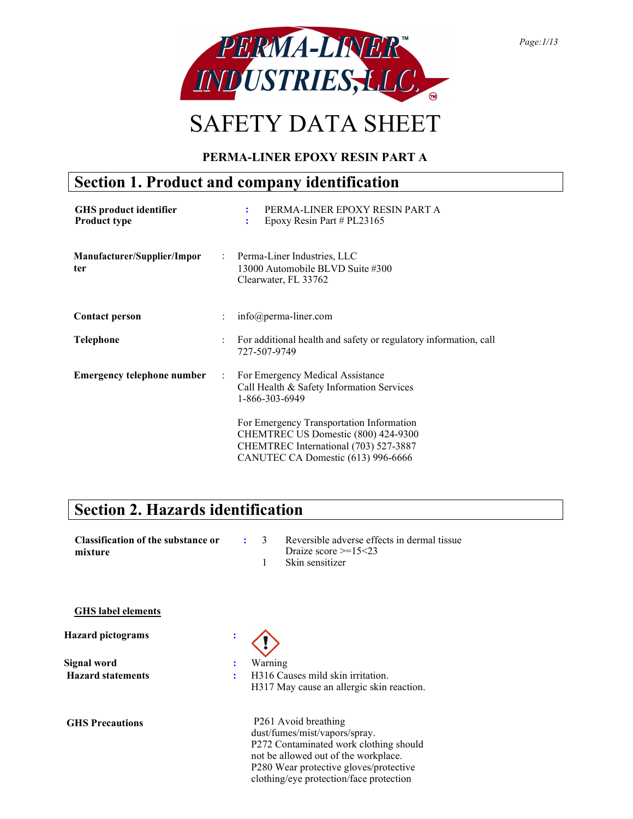

# SAFETY DATA SHEET

### PERMA-LINER EPOXY RESIN PART A

### Section 1. Product and company identification

| <b>GHS</b> product identifier<br><b>Product type</b> |                      | PERMA-LINER EPOXY RESIN PART A<br>÷<br>Epoxy Resin Part # $PL23165$<br>÷                                                                                       |
|------------------------------------------------------|----------------------|----------------------------------------------------------------------------------------------------------------------------------------------------------------|
| Manufacturer/Supplier/Impor<br>ter                   |                      | : Perma-Liner Industries, LLC<br>13000 Automobile BLVD Suite #300<br>Clearwater, FL 33762                                                                      |
| <b>Contact person</b>                                | ÷                    | $info(\omega)$ perma-liner.com                                                                                                                                 |
| <b>Telephone</b>                                     | ÷                    | For additional health and safety or regulatory information, call<br>727-507-9749                                                                               |
| <b>Emergency telephone number</b>                    | $\ddot{\phantom{a}}$ | For Emergency Medical Assistance<br>Call Health & Safety Information Services<br>1-866-303-6949                                                                |
|                                                      |                      | For Emergency Transportation Information<br>CHEMTREC US Domestic (800) 424-9300<br>CHEMTREC International (703) 527-3887<br>CANUTEC CA Domestic (613) 996-6666 |

### Section 2. Hazards identification

| <b>Classification of the substance or</b><br>mixture |   | $\mathcal{E}$<br>1 | Reversible adverse effects in dermal tissue<br>Draize score $\geq 15 < 23$<br>Skin sensitizer                                                                                                                                |
|------------------------------------------------------|---|--------------------|------------------------------------------------------------------------------------------------------------------------------------------------------------------------------------------------------------------------------|
| <b>GHS</b> label elements                            |   |                    |                                                                                                                                                                                                                              |
| <b>Hazard pictograms</b>                             |   |                    |                                                                                                                                                                                                                              |
| Signal word                                          |   | Warning            |                                                                                                                                                                                                                              |
| <b>Hazard statements</b>                             | ٠ |                    | H316 Causes mild skin irritation.<br>H317 May cause an allergic skin reaction.                                                                                                                                               |
| <b>GHS Precautions</b>                               |   |                    | P261 Avoid breathing<br>dust/fumes/mist/vapors/spray.<br>P272 Contaminated work clothing should<br>not be allowed out of the workplace.<br>P280 Wear protective gloves/protective<br>clothing/eye protection/face protection |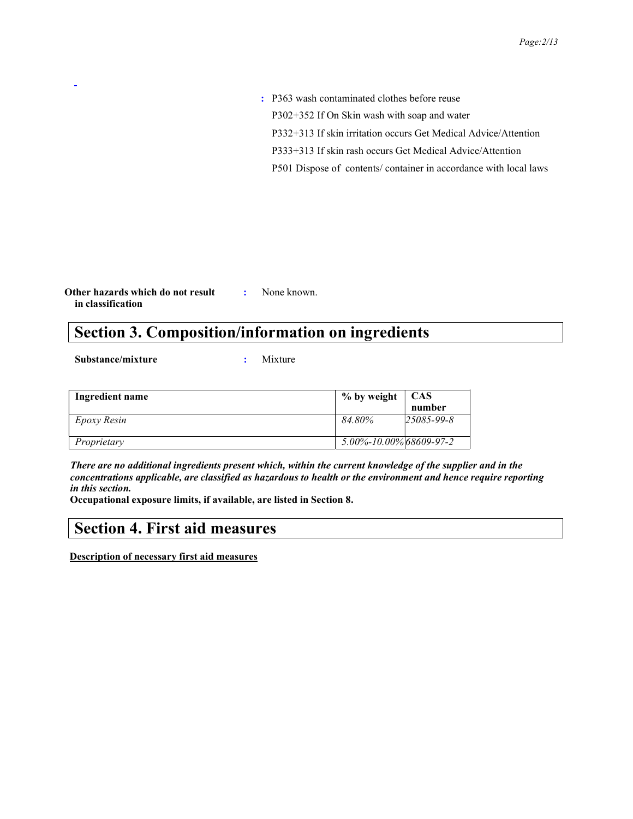: P363 wash contaminated clothes before reuse P302+352 If On Skin wash with soap and water P332+313 If skin irritation occurs Get Medical Advice/Attention P333+313 If skin rash occurs Get Medical Advice/Attention P501 Dispose of contents/ container in accordance with local laws

Other hazards which do not result in classification : None known.

### Section 3. Composition/information on ingredients

Substance/mixture : Mixture

| Ingredient name | % by weight                   | <b>CAS</b>       |
|-----------------|-------------------------------|------------------|
|                 |                               | number           |
| Epoxy Resin     | 84.80%                        | $25085 - 99 - 8$ |
|                 |                               |                  |
| Proprietary     | $5.00\% - 10.00\%$ 68609-97-2 |                  |

There are no additional ingredients present which, within the current knowledge of the supplier and in the concentrations applicable, are classified as hazardous to health or the environment and hence require reporting in this section.

Occupational exposure limits, if available, are listed in Section 8.

### Section 4. First aid measures

Description of necessary first aid measures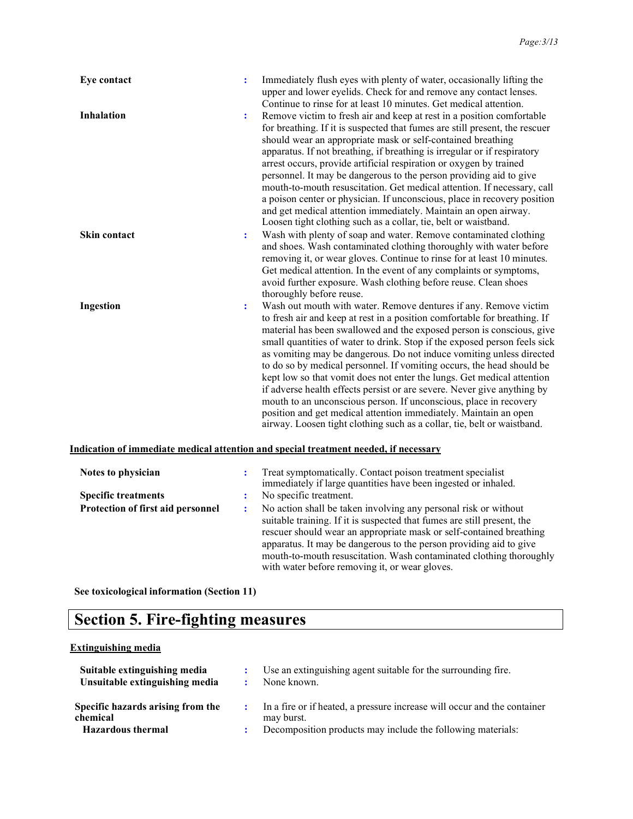| Eye contact         | ÷ | Immediately flush eyes with plenty of water, occasionally lifting the<br>upper and lower eyelids. Check for and remove any contact lenses.<br>Continue to rinse for at least 10 minutes. Get medical attention.                                                                                                                                                                                                                                                                                                                                                                                                                                                                                                                                                                                                               |
|---------------------|---|-------------------------------------------------------------------------------------------------------------------------------------------------------------------------------------------------------------------------------------------------------------------------------------------------------------------------------------------------------------------------------------------------------------------------------------------------------------------------------------------------------------------------------------------------------------------------------------------------------------------------------------------------------------------------------------------------------------------------------------------------------------------------------------------------------------------------------|
| <b>Inhalation</b>   | ÷ | Remove victim to fresh air and keep at rest in a position comfortable<br>for breathing. If it is suspected that fumes are still present, the rescuer<br>should wear an appropriate mask or self-contained breathing<br>apparatus. If not breathing, if breathing is irregular or if respiratory<br>arrest occurs, provide artificial respiration or oxygen by trained<br>personnel. It may be dangerous to the person providing aid to give<br>mouth-to-mouth resuscitation. Get medical attention. If necessary, call<br>a poison center or physician. If unconscious, place in recovery position<br>and get medical attention immediately. Maintain an open airway.<br>Loosen tight clothing such as a collar, tie, belt or waistband.                                                                                      |
| <b>Skin contact</b> | ÷ | Wash with plenty of soap and water. Remove contaminated clothing<br>and shoes. Wash contaminated clothing thoroughly with water before<br>removing it, or wear gloves. Continue to rinse for at least 10 minutes.<br>Get medical attention. In the event of any complaints or symptoms,<br>avoid further exposure. Wash clothing before reuse. Clean shoes<br>thoroughly before reuse.                                                                                                                                                                                                                                                                                                                                                                                                                                        |
| Ingestion           | ÷ | Wash out mouth with water. Remove dentures if any. Remove victim<br>to fresh air and keep at rest in a position comfortable for breathing. If<br>material has been swallowed and the exposed person is conscious, give<br>small quantities of water to drink. Stop if the exposed person feels sick<br>as vomiting may be dangerous. Do not induce vomiting unless directed<br>to do so by medical personnel. If vomiting occurs, the head should be<br>kept low so that vomit does not enter the lungs. Get medical attention<br>if adverse health effects persist or are severe. Never give anything by<br>mouth to an unconscious person. If unconscious, place in recovery<br>position and get medical attention immediately. Maintain an open<br>airway. Loosen tight clothing such as a collar, tie, belt or waistband. |

#### Indication of immediate medical attention and special treatment needed, if necessary

| Notes to physician                | Treat symptomatically. Contact poison treatment specialist<br>immediately if large quantities have been ingested or inhaled.                                                                                                                                                                                                                                                                                     |
|-----------------------------------|------------------------------------------------------------------------------------------------------------------------------------------------------------------------------------------------------------------------------------------------------------------------------------------------------------------------------------------------------------------------------------------------------------------|
| <b>Specific treatments</b>        | No specific treatment.                                                                                                                                                                                                                                                                                                                                                                                           |
| Protection of first aid personnel | No action shall be taken involving any personal risk or without<br>suitable training. If it is suspected that fumes are still present, the<br>rescuer should wear an appropriate mask or self-contained breathing<br>apparatus. It may be dangerous to the person providing aid to give<br>mouth-to-mouth resuscitation. Wash contaminated clothing thoroughly<br>with water before removing it, or wear gloves. |

See toxicological information (Section 11)

### Section 5. Fire-fighting measures

#### Extinguishing media

| Suitable extinguishing media<br>Unsuitable extinguishing media            | 2 <sup>2</sup> | Use an extinguishing agent suitable for the surrounding fire.<br>None known.                                                                            |
|---------------------------------------------------------------------------|----------------|---------------------------------------------------------------------------------------------------------------------------------------------------------|
| Specific hazards arising from the<br>chemical<br><b>Hazardous thermal</b> |                | : In a fire or if heated, a pressure increase will occur and the container<br>may burst.<br>Decomposition products may include the following materials: |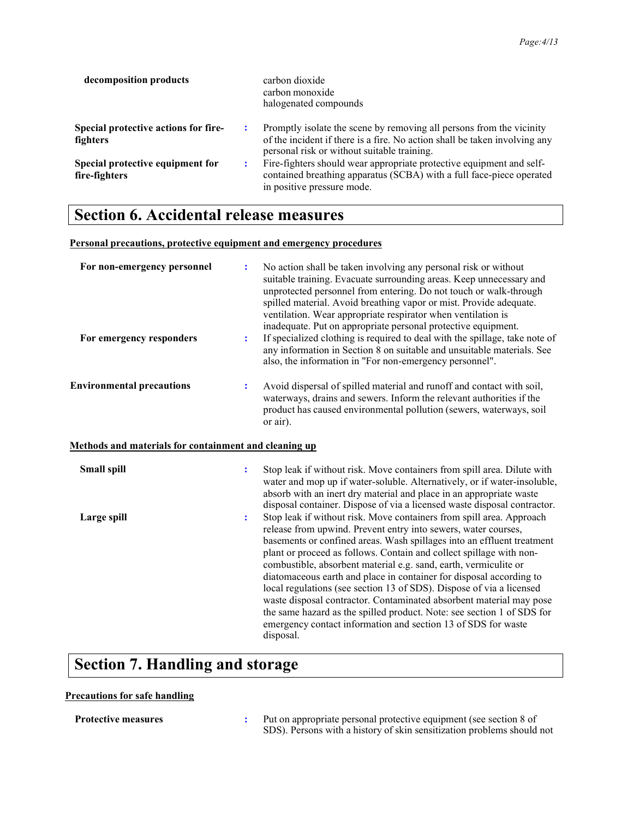| decomposition products                                   | carbon dioxide<br>carbon monoxide<br>halogenated compounds                                                                                                                                        |
|----------------------------------------------------------|---------------------------------------------------------------------------------------------------------------------------------------------------------------------------------------------------|
| <b>Special protective actions for fire-</b><br>fighters  | Promptly isolate the scene by removing all persons from the vicinity<br>of the incident if there is a fire. No action shall be taken involving any<br>personal risk or without suitable training. |
| <b>Special protective equipment for</b><br>fire-fighters | Fire-fighters should wear appropriate protective equipment and self-<br>contained breathing apparatus (SCBA) with a full face-piece operated<br>in positive pressure mode.                        |

### Section 6. Accidental release measures

#### Personal precautions, protective equipment and emergency procedures

| For non-emergency personnel                           |   | No action shall be taken involving any personal risk or without<br>suitable training. Evacuate surrounding areas. Keep unnecessary and<br>unprotected personnel from entering. Do not touch or walk-through<br>spilled material. Avoid breathing vapor or mist. Provide adequate.<br>ventilation. Wear appropriate respirator when ventilation is<br>inadequate. Put on appropriate personal protective equipment.                                                                                                                                                                                                                                                                                                                        |
|-------------------------------------------------------|---|-------------------------------------------------------------------------------------------------------------------------------------------------------------------------------------------------------------------------------------------------------------------------------------------------------------------------------------------------------------------------------------------------------------------------------------------------------------------------------------------------------------------------------------------------------------------------------------------------------------------------------------------------------------------------------------------------------------------------------------------|
| For emergency responders                              | ÷ | If specialized clothing is required to deal with the spillage, take note of<br>any information in Section 8 on suitable and unsuitable materials. See<br>also, the information in "For non-emergency personnel".                                                                                                                                                                                                                                                                                                                                                                                                                                                                                                                          |
| <b>Environmental precautions</b>                      | ÷ | Avoid dispersal of spilled material and runoff and contact with soil,<br>waterways, drains and sewers. Inform the relevant authorities if the<br>product has caused environmental pollution (sewers, waterways, soil<br>or air).                                                                                                                                                                                                                                                                                                                                                                                                                                                                                                          |
| Methods and materials for containment and cleaning up |   |                                                                                                                                                                                                                                                                                                                                                                                                                                                                                                                                                                                                                                                                                                                                           |
| Small spill                                           | ÷ | Stop leak if without risk. Move containers from spill area. Dilute with<br>water and mop up if water-soluble. Alternatively, or if water-insoluble,<br>absorb with an inert dry material and place in an appropriate waste<br>disposal container. Dispose of via a licensed waste disposal contractor.                                                                                                                                                                                                                                                                                                                                                                                                                                    |
| Large spill                                           | ÷ | Stop leak if without risk. Move containers from spill area. Approach<br>release from upwind. Prevent entry into sewers, water courses,<br>basements or confined areas. Wash spillages into an effluent treatment<br>plant or proceed as follows. Contain and collect spillage with non-<br>combustible, absorbent material e.g. sand, earth, vermiculite or<br>diatomaceous earth and place in container for disposal according to<br>local regulations (see section 13 of SDS). Dispose of via a licensed<br>waste disposal contractor. Contaminated absorbent material may pose<br>the same hazard as the spilled product. Note: see section 1 of SDS for<br>emergency contact information and section 13 of SDS for waste<br>disposal. |

### Section 7. Handling and storage

#### Precautions for safe handling

Protective measures : Put on appropriate personal protective equipment (see section 8 of SDS). Persons with a history of skin sensitization problems should not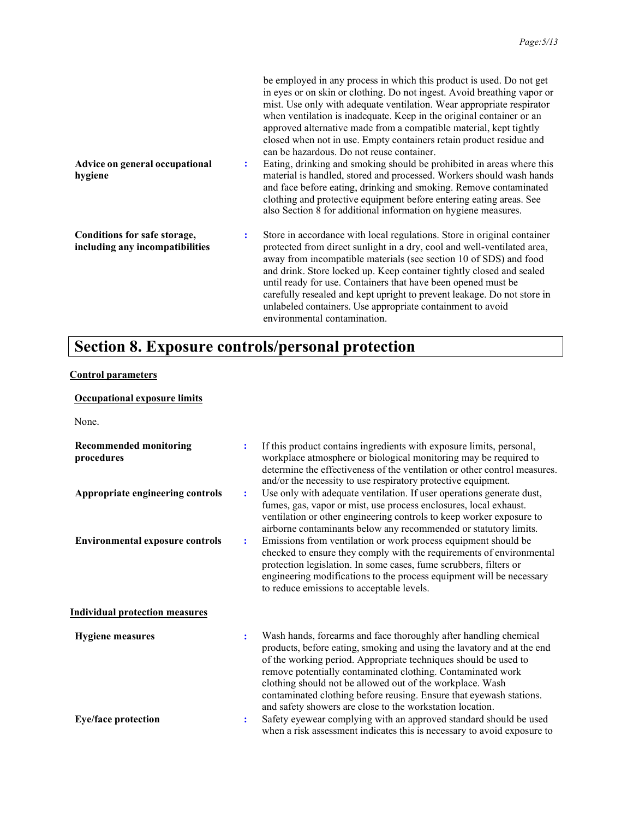| Advice on general occupational<br>hygiene                       | $\ddot{\cdot}$ | be employed in any process in which this product is used. Do not get<br>in eyes or on skin or clothing. Do not ingest. Avoid breathing vapor or<br>mist. Use only with adequate ventilation. Wear appropriate respirator<br>when ventilation is inadequate. Keep in the original container or an<br>approved alternative made from a compatible material, kept tightly<br>closed when not in use. Empty containers retain product residue and<br>can be hazardous. Do not reuse container.<br>Eating, drinking and smoking should be prohibited in areas where this<br>material is handled, stored and processed. Workers should wash hands<br>and face before eating, drinking and smoking. Remove contaminated<br>clothing and protective equipment before entering eating areas. See<br>also Section 8 for additional information on hygiene measures. |
|-----------------------------------------------------------------|----------------|-----------------------------------------------------------------------------------------------------------------------------------------------------------------------------------------------------------------------------------------------------------------------------------------------------------------------------------------------------------------------------------------------------------------------------------------------------------------------------------------------------------------------------------------------------------------------------------------------------------------------------------------------------------------------------------------------------------------------------------------------------------------------------------------------------------------------------------------------------------|
| Conditions for safe storage,<br>including any incompatibilities | ÷              | Store in accordance with local regulations. Store in original container<br>protected from direct sunlight in a dry, cool and well-ventilated area,<br>away from incompatible materials (see section 10 of SDS) and food<br>and drink. Store locked up. Keep container tightly closed and sealed<br>until ready for use. Containers that have been opened must be<br>carefully resealed and kept upright to prevent leakage. Do not store in<br>unlabeled containers. Use appropriate containment to avoid<br>environmental contamination.                                                                                                                                                                                                                                                                                                                 |

## Section 8. Exposure controls/personal protection

### Control parameters

#### Occupational exposure limits

None.

| ÷<br>÷                           | If this product contains ingredients with exposure limits, personal,<br>workplace atmosphere or biological monitoring may be required to<br>determine the effectiveness of the ventilation or other control measures.<br>and/or the necessity to use respiratory protective equipment.<br>Use only with adequate ventilation. If user operations generate dust,<br>fumes, gas, vapor or mist, use process enclosures, local exhaust.<br>ventilation or other engineering controls to keep worker exposure to<br>airborne contaminants below any recommended or statutory limits.                                              |
|----------------------------------|-------------------------------------------------------------------------------------------------------------------------------------------------------------------------------------------------------------------------------------------------------------------------------------------------------------------------------------------------------------------------------------------------------------------------------------------------------------------------------------------------------------------------------------------------------------------------------------------------------------------------------|
| ÷                                | Emissions from ventilation or work process equipment should be<br>checked to ensure they comply with the requirements of environmental<br>protection legislation. In some cases, fume scrubbers, filters or<br>engineering modifications to the process equipment will be necessary<br>to reduce emissions to acceptable levels.                                                                                                                                                                                                                                                                                              |
| $\ddot{\cdot}$<br>$\ddot{\cdot}$ | Wash hands, forearms and face thoroughly after handling chemical<br>products, before eating, smoking and using the lavatory and at the end<br>of the working period. Appropriate techniques should be used to<br>remove potentially contaminated clothing. Contaminated work<br>clothing should not be allowed out of the workplace. Wash<br>contaminated clothing before reusing. Ensure that eyewash stations.<br>and safety showers are close to the workstation location.<br>Safety eyewear complying with an approved standard should be used<br>when a risk assessment indicates this is necessary to avoid exposure to |
|                                  |                                                                                                                                                                                                                                                                                                                                                                                                                                                                                                                                                                                                                               |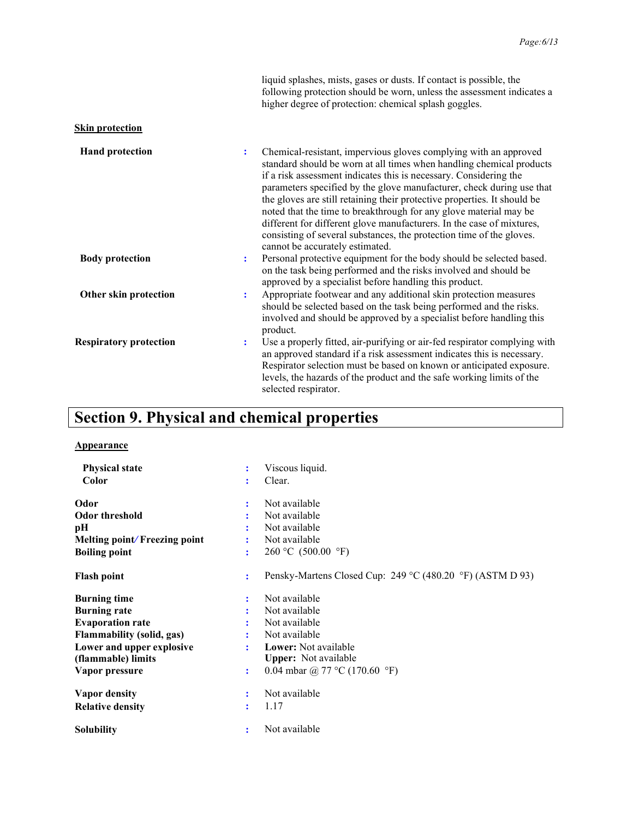liquid splashes, mists, gases or dusts. If contact is possible, the following protection should be worn, unless the assessment indicates a higher degree of protection: chemical splash goggles.

#### **Skin protection**

| <b>Hand protection</b>        | ÷ | Chemical-resistant, impervious gloves complying with an approved<br>standard should be worn at all times when handling chemical products<br>if a risk assessment indicates this is necessary. Considering the<br>parameters specified by the glove manufacturer, check during use that<br>the gloves are still retaining their protective properties. It should be<br>noted that the time to breakthrough for any glove material may be<br>different for different glove manufacturers. In the case of mixtures,<br>consisting of several substances, the protection time of the gloves.<br>cannot be accurately estimated. |
|-------------------------------|---|-----------------------------------------------------------------------------------------------------------------------------------------------------------------------------------------------------------------------------------------------------------------------------------------------------------------------------------------------------------------------------------------------------------------------------------------------------------------------------------------------------------------------------------------------------------------------------------------------------------------------------|
| <b>Body protection</b>        | ÷ | Personal protective equipment for the body should be selected based.<br>on the task being performed and the risks involved and should be<br>approved by a specialist before handling this product.                                                                                                                                                                                                                                                                                                                                                                                                                          |
| Other skin protection         | ÷ | Appropriate footwear and any additional skin protection measures<br>should be selected based on the task being performed and the risks.<br>involved and should be approved by a specialist before handling this<br>product.                                                                                                                                                                                                                                                                                                                                                                                                 |
| <b>Respiratory protection</b> | ÷ | Use a properly fitted, air-purifying or air-fed respirator complying with<br>an approved standard if a risk assessment indicates this is necessary.<br>Respirator selection must be based on known or anticipated exposure.<br>levels, the hazards of the product and the safe working limits of the<br>selected respirator.                                                                                                                                                                                                                                                                                                |

### Section 9. Physical and chemical properties

#### Appearance

| <b>Physical state</b>            |   | Viscous liquid.                                           |
|----------------------------------|---|-----------------------------------------------------------|
| Color                            | ÷ | Clear.                                                    |
| Odor                             |   | Not available                                             |
| Odor threshold                   |   | Not available                                             |
| pН                               |   | Not available                                             |
| Melting point/Freezing point     |   | Not available                                             |
| <b>Boiling point</b>             | ÷ | 260 °C (500.00 °F)                                        |
| <b>Flash point</b>               | ÷ | Pensky-Martens Closed Cup: 249 °C (480.20 °F) (ASTM D 93) |
| <b>Burning time</b>              |   | Not available                                             |
| <b>Burning rate</b>              |   | Not available                                             |
| <b>Evaporation rate</b>          |   | Not available                                             |
| <b>Flammability (solid, gas)</b> |   | Not available                                             |
| Lower and upper explosive        |   | <b>Lower:</b> Not available                               |
| (flammable) limits               |   | <b>Upper:</b> Not available                               |
| Vapor pressure                   | ÷ | 0.04 mbar @ 77 °C (170.60 °F)                             |
| Vapor density                    |   | Not available                                             |
| <b>Relative density</b>          | ÷ | 1.17                                                      |
| <b>Solubility</b>                | ÷ | Not available                                             |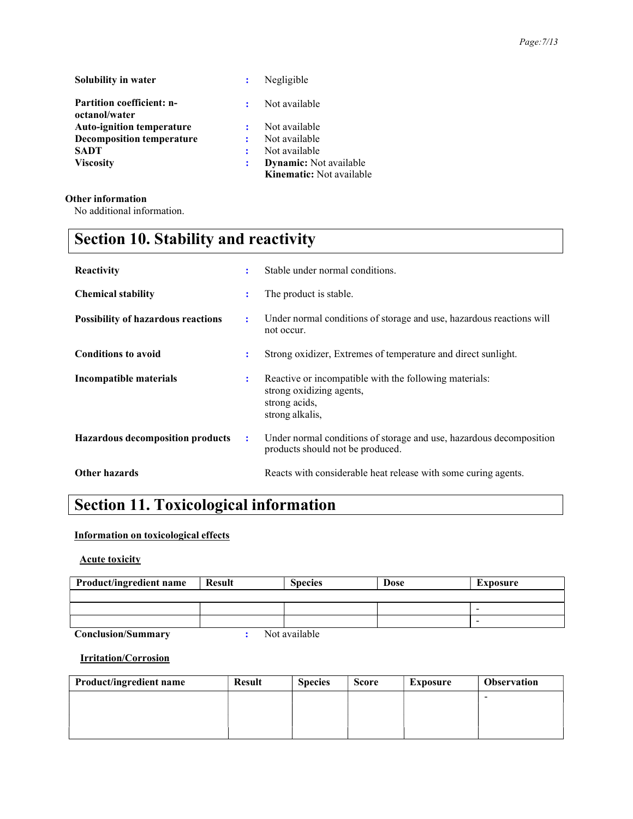| Solubility in water                               |   | Negligible                      |
|---------------------------------------------------|---|---------------------------------|
| <b>Partition coefficient: n-</b><br>octanol/water | ÷ | Not available                   |
| <b>Auto-ignition temperature</b>                  |   | Not available                   |
| <b>Decomposition temperature</b>                  |   | Not available                   |
| <b>SADT</b>                                       |   | Not available                   |
| <b>Viscosity</b>                                  |   | <b>Dynamic:</b> Not available   |
|                                                   |   | <b>Kinematic:</b> Not available |

#### Other information

No additional information.

## Section 10. Stability and reactivity

| Reactivity                                | ÷                    | Stable under normal conditions.                                                                                        |
|-------------------------------------------|----------------------|------------------------------------------------------------------------------------------------------------------------|
| <b>Chemical stability</b>                 | ÷                    | The product is stable.                                                                                                 |
| <b>Possibility of hazardous reactions</b> | ÷                    | Under normal conditions of storage and use, hazardous reactions will<br>not occur.                                     |
| <b>Conditions to avoid</b>                | ÷                    | Strong oxidizer, Extremes of temperature and direct sunlight.                                                          |
| Incompatible materials                    | $\ddot{\phantom{a}}$ | Reactive or incompatible with the following materials:<br>strong oxidizing agents,<br>strong acids,<br>strong alkalis, |
| <b>Hazardous decomposition products</b>   | $\mathbf{L}$         | Under normal conditions of storage and use, hazardous decomposition<br>products should not be produced.                |
| <b>Other hazards</b>                      |                      | Reacts with considerable heat release with some curing agents.                                                         |

### Section 11. Toxicological information

#### Information on toxicological effects

Acute toxicity

| <b>Product/ingredient name</b> | <b>Result</b> | <b>Species</b> | <b>Dose</b> | Exposure |
|--------------------------------|---------------|----------------|-------------|----------|
|                                |               |                |             |          |
|                                |               |                |             | -        |
|                                |               |                |             | -        |
| <b>Conclusion/Summary</b>      |               | Not available  |             |          |

Irritation/Corrosion

| Product/ingredient name | <b>Result</b> | <b>Species</b> | <b>Score</b> | <b>Exposure</b> | <b>Observation</b> |
|-------------------------|---------------|----------------|--------------|-----------------|--------------------|
|                         |               |                |              |                 | -                  |
|                         |               |                |              |                 |                    |
|                         |               |                |              |                 |                    |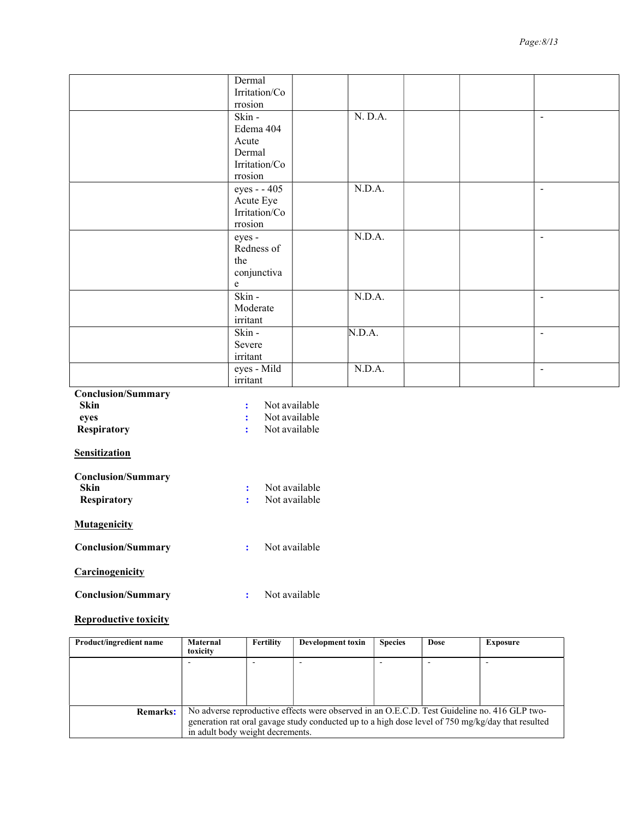|                                   | Dermal                                |         |  |                |
|-----------------------------------|---------------------------------------|---------|--|----------------|
|                                   | Irritation/Co                         |         |  |                |
|                                   | rrosion                               |         |  |                |
|                                   | Skin -                                | N. D.A. |  | $\overline{a}$ |
|                                   | Edema 404                             |         |  |                |
|                                   | Acute                                 |         |  |                |
|                                   | Dermal                                |         |  |                |
|                                   | Irritation/Co<br>rrosion              |         |  |                |
|                                   |                                       |         |  |                |
|                                   | eyes - - 405                          | N.D.A.  |  | $\blacksquare$ |
|                                   | Acute Eye<br>Irritation/Co            |         |  |                |
|                                   | rrosion                               |         |  |                |
|                                   | eyes -                                | N.D.A.  |  | $\blacksquare$ |
|                                   | Redness of                            |         |  |                |
|                                   | the                                   |         |  |                |
|                                   |                                       |         |  |                |
|                                   | conjunctiva<br>$\mathbf e$            |         |  |                |
|                                   | Skin -                                | N.D.A.  |  | $\blacksquare$ |
|                                   | Moderate                              |         |  |                |
|                                   | irritant                              |         |  |                |
|                                   | Skin -                                | N.D.A.  |  | $\blacksquare$ |
|                                   | Severe                                |         |  |                |
|                                   | irritant                              |         |  |                |
|                                   | eyes - Mild                           | N.D.A.  |  | $\sim$         |
|                                   | irritant                              |         |  |                |
| <b>Conclusion/Summary</b>         |                                       |         |  |                |
| <b>Skin</b>                       | Not available<br>$\ddot{\phantom{a}}$ |         |  |                |
| eyes                              | Not available<br>$\ddot{\phantom{a}}$ |         |  |                |
| <b>Respiratory</b>                | Not available<br>÷                    |         |  |                |
|                                   |                                       |         |  |                |
| <b>Sensitization</b>              |                                       |         |  |                |
|                                   |                                       |         |  |                |
| <b>Conclusion/Summary</b><br>Skin | Not available<br>÷                    |         |  |                |
| <b>Respiratory</b>                | Not available<br>÷                    |         |  |                |
|                                   |                                       |         |  |                |
| <b>Mutagenicity</b>               |                                       |         |  |                |
|                                   |                                       |         |  |                |
| <b>Conclusion/Summary</b>         | Not available<br>$\mathbf{L}$         |         |  |                |
| Carcinogenicity                   |                                       |         |  |                |
|                                   |                                       |         |  |                |
| <b>Conclusion/Summary</b>         | Not available<br>$\ddot{\phantom{a}}$ |         |  |                |
|                                   |                                       |         |  |                |

#### Reproductive toxicity

| Product/ingredient name | Maternal<br>toxicity                                                                                                                  | Fertility | Development toxin | <b>Species</b> | <b>Dose</b> | Exposure |
|-------------------------|---------------------------------------------------------------------------------------------------------------------------------------|-----------|-------------------|----------------|-------------|----------|
|                         |                                                                                                                                       |           |                   |                |             |          |
|                         |                                                                                                                                       |           |                   |                |             |          |
|                         |                                                                                                                                       |           |                   |                |             |          |
| <b>Remarks:</b>         | No adverse reproductive effects were observed in an O.E.C.D. Test Guideline no. 416 GLP two-                                          |           |                   |                |             |          |
|                         | generation rat oral gavage study conducted up to a high dose level of 750 mg/kg/day that resulted<br>in adult body weight decrements. |           |                   |                |             |          |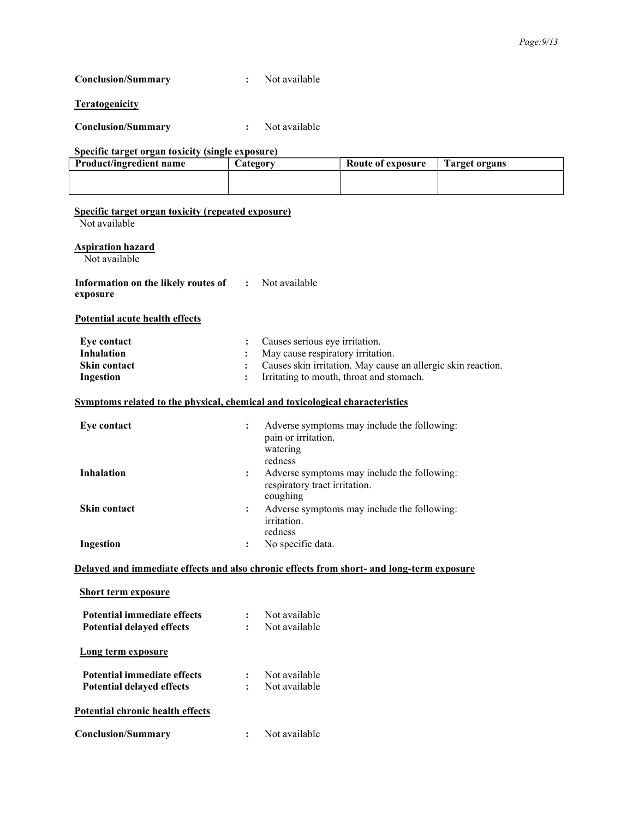Conclusion/Summary : Not available

**Teratogenicity** 

Conclusion/Summary : Not available

Conclusion/Summary : Not available

#### Specific target organ toxicity (single exposure)

| Product/ingredient name | Category | Route of exposure | Target organs |
|-------------------------|----------|-------------------|---------------|
|                         |          |                   |               |
|                         |          |                   |               |
|                         |          |                   |               |

| Specific target organ toxicity (repeated exposure)                           |                      |                                                                                           |
|------------------------------------------------------------------------------|----------------------|-------------------------------------------------------------------------------------------|
| Not available                                                                |                      |                                                                                           |
| <b>Aspiration hazard</b><br>Not available                                    |                      |                                                                                           |
| Information on the likely routes of<br>exposure                              |                      | : Not available                                                                           |
| Potential acute health effects                                               |                      |                                                                                           |
| Eye contact                                                                  | ÷                    | Causes serious eye irritation.                                                            |
| <b>Inhalation</b>                                                            | ÷                    | May cause respiratory irritation.                                                         |
| <b>Skin contact</b>                                                          |                      | Causes skin irritation. May cause an allergic skin reaction.                              |
| Ingestion                                                                    | ÷                    | Irritating to mouth, throat and stomach.                                                  |
| Symptoms related to the physical, chemical and toxicological characteristics |                      |                                                                                           |
| <b>Eye contact</b>                                                           | ÷                    | Adverse symptoms may include the following:<br>pain or irritation.<br>watering<br>redness |
| <b>Inhalation</b>                                                            | $\ddot{\phantom{a}}$ | Adverse symptoms may include the following:<br>respiratory tract irritation.<br>coughing  |
| <b>Skin contact</b>                                                          | ÷                    | Adverse symptoms may include the following:<br>irritation.<br>redness                     |
| Ingestion                                                                    | ÷                    | No specific data.                                                                         |
|                                                                              |                      | Delayed and immediate effects and also chronic effects from short- and long-term exposure |
| <b>Short term exposure</b>                                                   |                      |                                                                                           |
| Potential immediate effects                                                  | ÷                    | Not available                                                                             |
| <b>Potential delayed effects</b>                                             | $\mathbf{r}$         | Not available                                                                             |
| <b>Long term exposure</b>                                                    |                      |                                                                                           |
| Potential immediate effects                                                  | $\mathbf{L}$         | Not available                                                                             |
| Potential delayed effects                                                    |                      | Not available                                                                             |
| Potential chronic health effects                                             |                      |                                                                                           |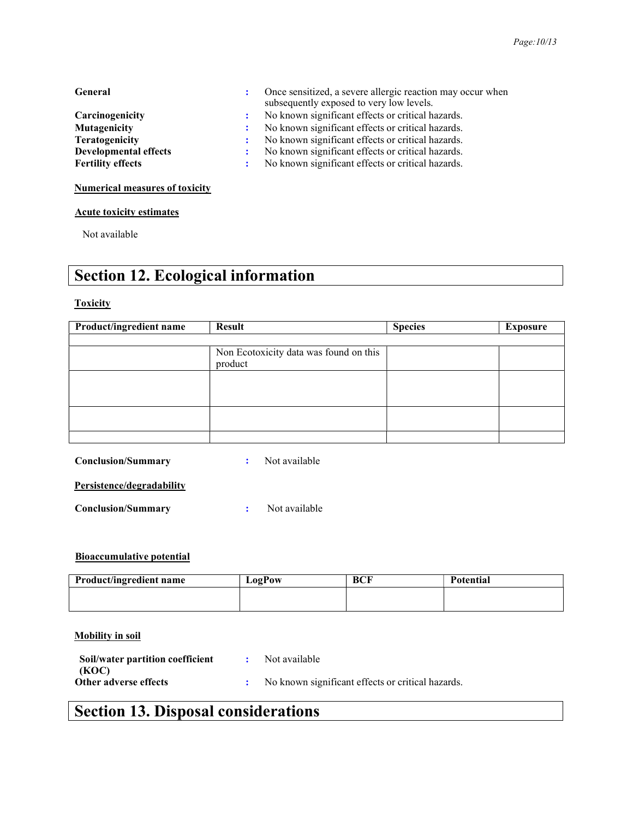#### General : Once sensitized, a severe allergic reaction may occur when

|                              | subsequently exposed to very low levels.          |
|------------------------------|---------------------------------------------------|
| Carcinogenicity              | No known significant effects or critical hazards. |
| Mutagenicity                 | No known significant effects or critical hazards. |
| Teratogenicity               | No known significant effects or critical hazards. |
| <b>Developmental effects</b> | No known significant effects or critical hazards. |
| <b>Fertility effects</b>     | No known significant effects or critical hazards. |
|                              |                                                   |

#### Numerical measures of toxicity

#### Acute toxicity estimates

Not available

### Section 12. Ecological information

#### **Toxicity**

| Product/ingredient name | <b>Result</b>                                     | <b>Species</b> | Exposure |
|-------------------------|---------------------------------------------------|----------------|----------|
|                         |                                                   |                |          |
|                         | Non Ecotoxicity data was found on this<br>product |                |          |
|                         |                                                   |                |          |
|                         |                                                   |                |          |
|                         |                                                   |                |          |

Conclusion/Summary : Not available

#### Persistence/degradability

Conclusion/Summary : Not available

#### Bioaccumulative potential

| Product/ingredient name | LogPow | BCF | Potential |
|-------------------------|--------|-----|-----------|
|                         |        |     |           |
|                         |        |     |           |

#### Mobility in soil

| Soil/water partition coefficient | Not available                                     |
|----------------------------------|---------------------------------------------------|
| (KOC)                            |                                                   |
| Other adverse effects            | No known significant effects or critical hazards. |

### Section 13. Disposal considerations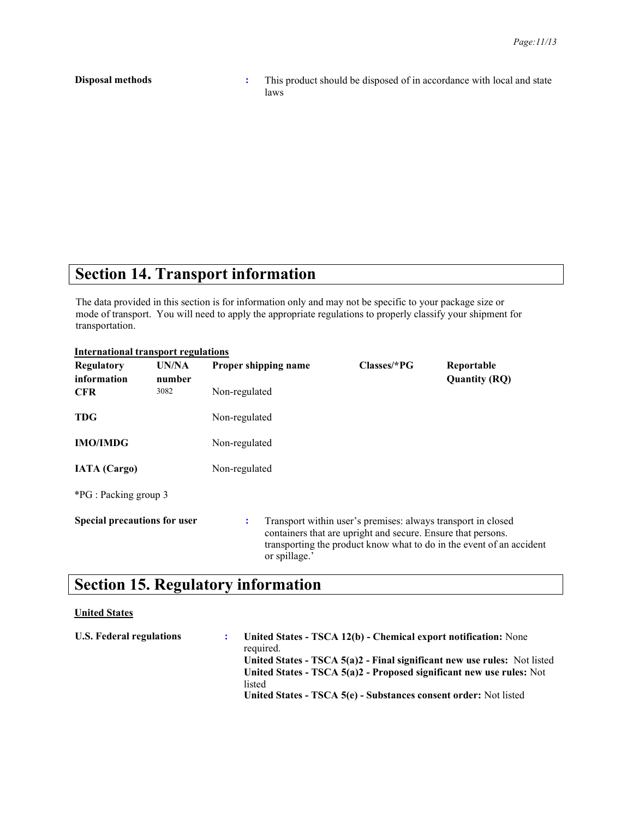**Disposal methods** : This product should be disposed of in accordance with local and state laws

### Section 14. Transport information

The data provided in this section is for information only and may not be specific to your package size or mode of transport. You will need to apply the appropriate regulations to properly classify your shipment for transportation.

| <b>International transport regulations</b> |                 |                      |                                                                                                                                                                                                      |                                    |  |  |
|--------------------------------------------|-----------------|----------------------|------------------------------------------------------------------------------------------------------------------------------------------------------------------------------------------------------|------------------------------------|--|--|
| Regulatory<br>information                  | UN/NA<br>number | Proper shipping name | $Classes/*PG$                                                                                                                                                                                        | Reportable<br><b>Quantity (RQ)</b> |  |  |
| <b>CFR</b>                                 | 3082            | Non-regulated        |                                                                                                                                                                                                      |                                    |  |  |
| TDG                                        |                 | Non-regulated        |                                                                                                                                                                                                      |                                    |  |  |
| <b>IMO/IMDG</b>                            |                 | Non-regulated        |                                                                                                                                                                                                      |                                    |  |  |
| <b>IATA</b> (Cargo)                        |                 | Non-regulated        |                                                                                                                                                                                                      |                                    |  |  |
| <i>*PG</i> : Packing group 3               |                 |                      |                                                                                                                                                                                                      |                                    |  |  |
| Special precautions for user               |                 | ÷<br>or spillage.'   | Transport within user's premises: always transport in closed<br>containers that are upright and secure. Ensure that persons.<br>transporting the product know what to do in the event of an accident |                                    |  |  |

### Section 15. Regulatory information

#### United States

| <b>U.S. Federal regulations</b> | United States - TSCA 12(b) - Chemical export notification: None<br>required. |
|---------------------------------|------------------------------------------------------------------------------|
|                                 | United States - TSCA $5(a)2$ - Final significant new use rules: Not listed   |
|                                 | United States - TSCA $5(a)2$ - Proposed significant new use rules: Not       |
|                                 | listed                                                                       |
|                                 | United States - TSCA 5(e) - Substances consent order: Not listed             |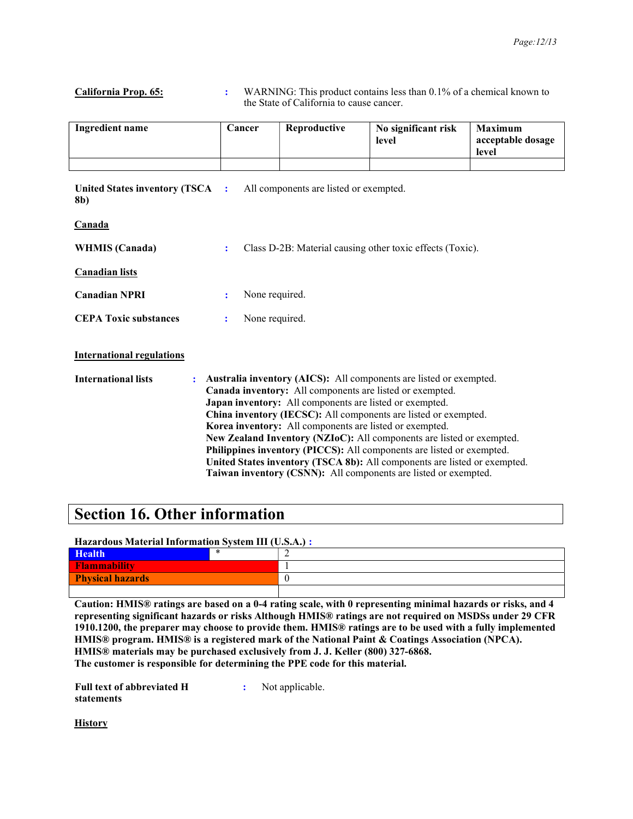#### California Prop. 65: : WARNING: This product contains less than 0.1% of a chemical known to the State of California to cause cancer.

| Ingredient name | Cancer | Reproductive | No significant risk<br>level | <b>Maximum</b><br>acceptable dosage<br>level |
|-----------------|--------|--------------|------------------------------|----------------------------------------------|
|                 |        |              |                              |                                              |

United States inventory (TSCA : 8b) All components are listed or exempted.

| пя<br>н |
|---------|
|---------|

| <b>WHMIS (Canada)</b> | Class D-2B: Material causing other toxic effects (Toxic). |
|-----------------------|-----------------------------------------------------------|
|                       |                                                           |

Canadian lists

Canadian NPRI : None required.

CEPA Toxic substances : None required.

#### International regulations

International lists : Australia inventory (AICS): All components are listed or exempted. Canada inventory: All components are listed or exempted. Japan inventory: All components are listed or exempted. China inventory (IECSC): All components are listed or exempted. Korea inventory: All components are listed or exempted. New Zealand Inventory (NZIoC): All components are listed or exempted. Philippines inventory (PICCS): All components are listed or exempted. United States inventory (TSCA 8b): All components are listed or exempted. Taiwan inventory (CSNN): All components are listed or exempted.

### Section 16. Other information

#### Hazardous Material Information System III (U.S.A.) :

| <b>Health</b>           |  |  |
|-------------------------|--|--|
| Flammability            |  |  |
| <b>Physical hazards</b> |  |  |
|                         |  |  |

Caution: HMIS® ratings are based on a 0-4 rating scale, with 0 representing minimal hazards or risks, and 4 representing significant hazards or risks Although HMIS® ratings are not required on MSDSs under 29 CFR 1910.1200, the preparer may choose to provide them. HMIS® ratings are to be used with a fully implemented HMIS® program. HMIS® is a registered mark of the National Paint & Coatings Association (NPCA). HMIS® materials may be purchased exclusively from J. J. Keller (800) 327-6868. The customer is responsible for determining the PPE code for this material.

Full text of abbreviated H statements

: Not applicable.

**History**